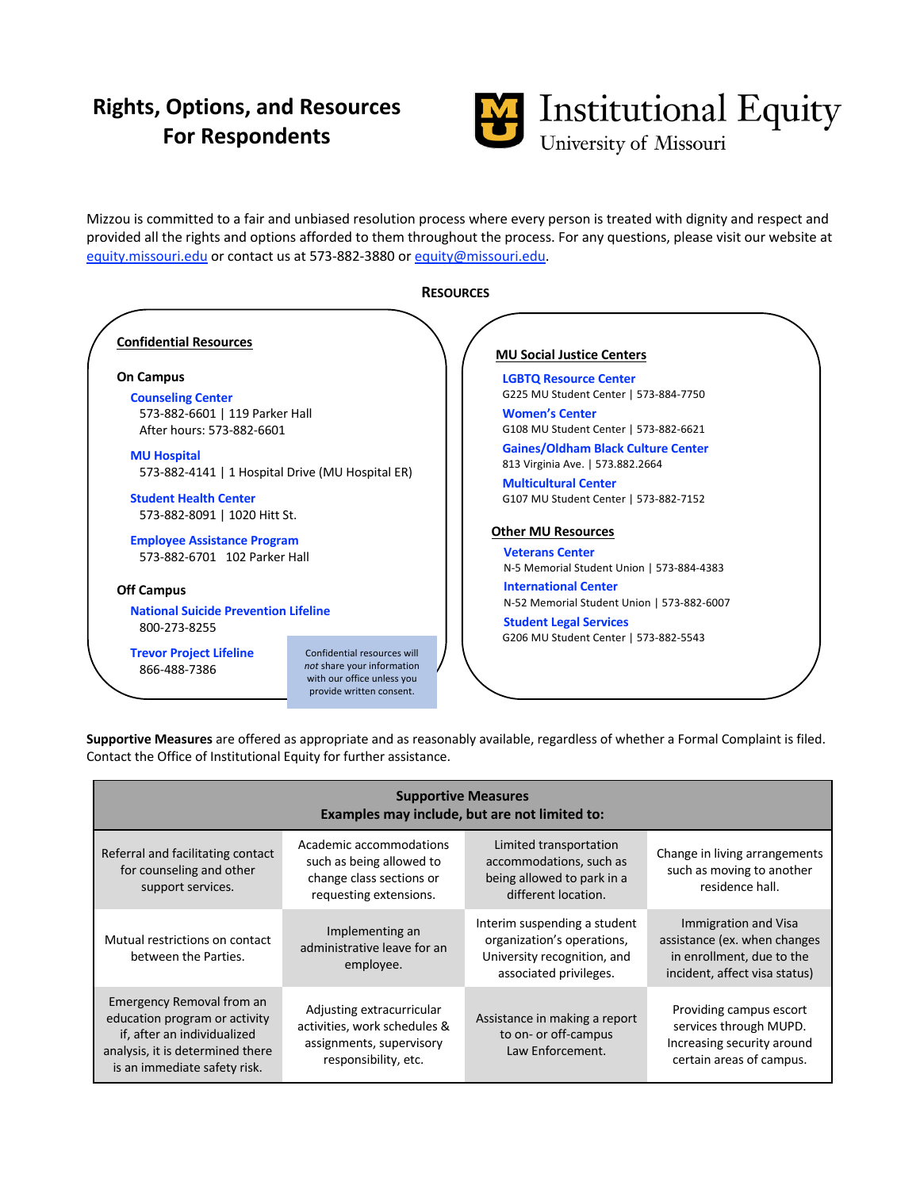## **Rights, Options, and Resources For Respondents**



Mizzou is committed to a fair and unbiased resolution process where every person is treated with dignity and respect and provided all the rights and options afforded to them throughout the process. For any questions, please visit our website at equity.missouri.edu or contact us at 573-882-3880 or equity@missouri.edu.



**Supportive Measures** are offered as appropriate and as reasonably available, regardless of whether a Formal Complaint is filed. Contact the Office of Institutional Equity for further assistance.

| <b>Supportive Measures</b><br>Examples may include, but are not limited to:                                                                                   |                                                                                                               |                                                                                                                     |                                                                                                                    |
|---------------------------------------------------------------------------------------------------------------------------------------------------------------|---------------------------------------------------------------------------------------------------------------|---------------------------------------------------------------------------------------------------------------------|--------------------------------------------------------------------------------------------------------------------|
| Referral and facilitating contact<br>for counseling and other<br>support services.                                                                            | Academic accommodations<br>such as being allowed to<br>change class sections or<br>requesting extensions.     | Limited transportation<br>accommodations, such as<br>being allowed to park in a<br>different location.              | Change in living arrangements<br>such as moving to another<br>residence hall.                                      |
| Mutual restrictions on contact<br>between the Parties.                                                                                                        | Implementing an<br>administrative leave for an<br>employee.                                                   | Interim suspending a student<br>organization's operations,<br>University recognition, and<br>associated privileges. | Immigration and Visa<br>assistance (ex. when changes<br>in enrollment, due to the<br>incident, affect visa status) |
| Emergency Removal from an<br>education program or activity<br>if, after an individualized<br>analysis, it is determined there<br>is an immediate safety risk. | Adjusting extracurricular<br>activities, work schedules &<br>assignments, supervisory<br>responsibility, etc. | Assistance in making a report<br>to on- or off-campus<br>Law Enforcement.                                           | Providing campus escort<br>services through MUPD.<br>Increasing security around<br>certain areas of campus.        |